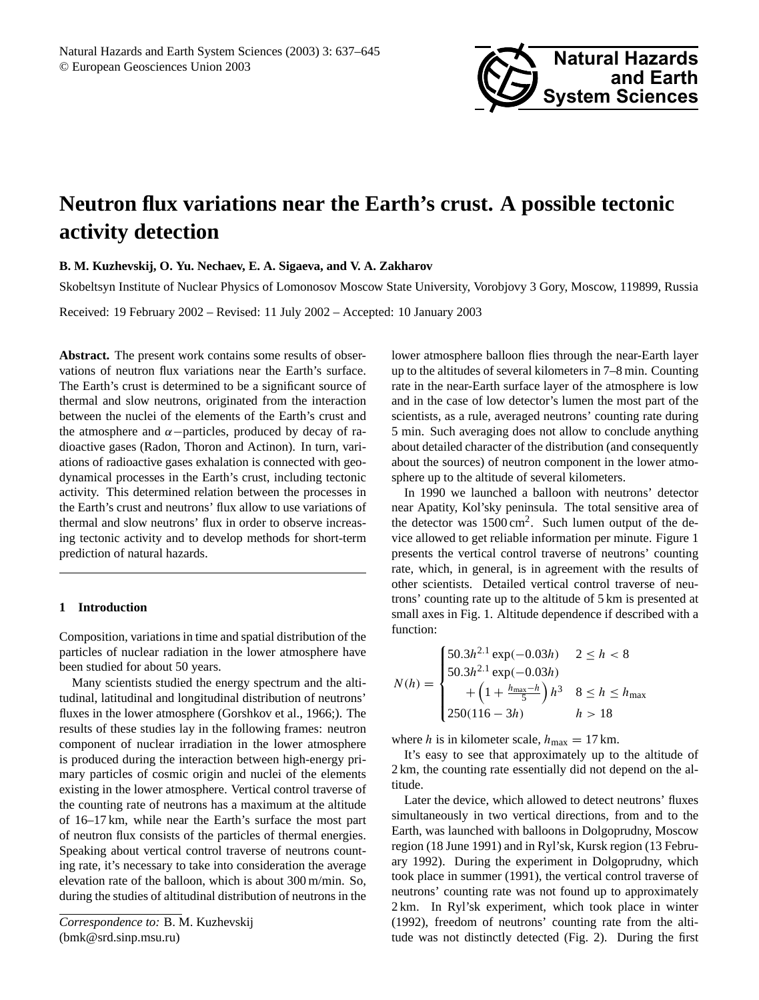

# **Neutron flux variations near the Earth's crust. A possible tectonic activity detection**

**B. M. Kuzhevskij, O. Yu. Nechaev, E. A. Sigaeva, and V. A. Zakharov**

Skobeltsyn Institute of Nuclear Physics of Lomonosov Moscow State University, Vorobjovy 3 Gory, Moscow, 119899, Russia

Received: 19 February 2002 – Revised: 11 July 2002 – Accepted: 10 January 2003

**Abstract.** The present work contains some results of observations of neutron flux variations near the Earth's surface. The Earth's crust is determined to be a significant source of thermal and slow neutrons, originated from the interaction between the nuclei of the elements of the Earth's crust and the atmosphere and  $\alpha$  –particles, produced by decay of radioactive gases (Radon, Thoron and Actinon). In turn, variations of radioactive gases exhalation is connected with geodynamical processes in the Earth's crust, including tectonic activity. This determined relation between the processes in the Earth's crust and neutrons' flux allow to use variations of thermal and slow neutrons' flux in order to observe increasing tectonic activity and to develop methods for short-term prediction of natural hazards.

## **1 Introduction**

Composition, variations in time and spatial distribution of the particles of nuclear radiation in the lower atmosphere have been studied for about 50 years.

Many scientists studied the energy spectrum and the altitudinal, latitudinal and longitudinal distribution of neutrons' fluxes in the lower atmosphere (Gorshkov et al., 1966;). The results of these studies lay in the following frames: neutron component of nuclear irradiation in the lower atmosphere is produced during the interaction between high-energy primary particles of cosmic origin and nuclei of the elements existing in the lower atmosphere. Vertical control traverse of the counting rate of neutrons has a maximum at the altitude of 16–17 km, while near the Earth's surface the most part of neutron flux consists of the particles of thermal energies. Speaking about vertical control traverse of neutrons counting rate, it's necessary to take into consideration the average elevation rate of the balloon, which is about 300 m/min. So, during the studies of altitudinal distribution of neutrons in the lower atmosphere balloon flies through the near-Earth layer up to the altitudes of several kilometers in 7–8 min. Counting rate in the near-Earth surface layer of the atmosphere is low and in the case of low detector's lumen the most part of the scientists, as a rule, averaged neutrons' counting rate during 5 min. Such averaging does not allow to conclude anything about detailed character of the distribution (and consequently about the sources) of neutron component in the lower atmosphere up to the altitude of several kilometers.

In 1990 we launched a balloon with neutrons' detector near Apatity, Kol'sky peninsula. The total sensitive area of the detector was  $1500 \text{ cm}^2$ . Such lumen output of the device allowed to get reliable information per minute. Figure 1 presents the vertical control traverse of neutrons' counting rate, which, in general, is in agreement with the results of other scientists. Detailed vertical control traverse of neutrons' counting rate up to the altitude of 5 km is presented at small axes in Fig. 1. Altitude dependence if described with a function:

$$
N(h) = \begin{cases} 50.3h^{2.1} \exp(-0.03h) & 2 \le h < 8 \\ 50.3h^{2.1} \exp(-0.03h) \\ + \left(1 + \frac{h_{\text{max}} - h}{5}\right)h^3 & 8 \le h \le h_{\text{max}} \\ 250(116 - 3h) & h > 18 \end{cases}
$$

where h is in kilometer scale,  $h_{\text{max}} = 17$  km.

It's easy to see that approximately up to the altitude of 2 km, the counting rate essentially did not depend on the altitude.

Later the device, which allowed to detect neutrons' fluxes simultaneously in two vertical directions, from and to the Earth, was launched with balloons in Dolgoprudny, Moscow region (18 June 1991) and in Ryl'sk, Kursk region (13 February 1992). During the experiment in Dolgoprudny, which took place in summer (1991), the vertical control traverse of neutrons' counting rate was not found up to approximately 2 km. In Ryl'sk experiment, which took place in winter (1992), freedom of neutrons' counting rate from the altitude was not distinctly detected (Fig. 2). During the first

*Correspondence to:* B. M. Kuzhevskij (bmk@srd.sinp.msu.ru)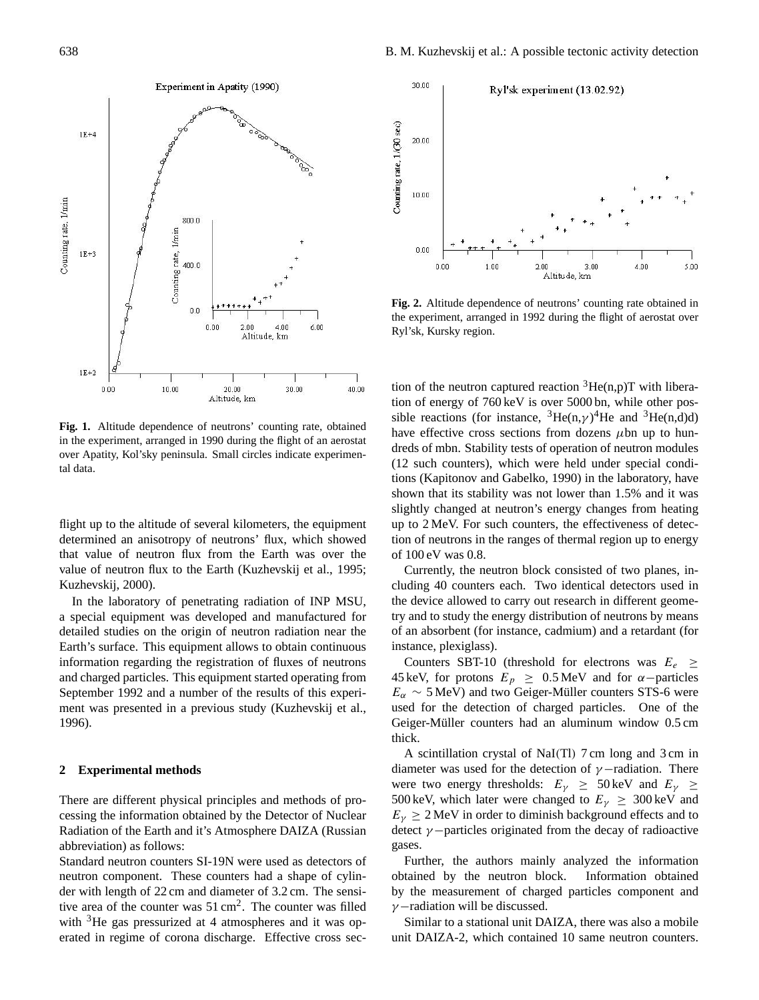

**Fig. 1.** Altitude dependence of neutrons' counting rate, obtained in the experiment, arranged in 1990 during the flight of an aerostat over Apatity, Kol'sky peninsula. Small circles indicate experimental data.

flight up to the altitude of several kilometers, the equipment determined an anisotropy of neutrons' flux, which showed that value of neutron flux from the Earth was over the value of neutron flux to the Earth (Kuzhevskij et al., 1995; Kuzhevskij, 2000).

In the laboratory of penetrating radiation of INP MSU, a special equipment was developed and manufactured for detailed studies on the origin of neutron radiation near the Earth's surface. This equipment allows to obtain continuous information regarding the registration of fluxes of neutrons and charged particles. This equipment started operating from September 1992 and a number of the results of this experiment was presented in a previous study (Kuzhevskij et al., 1996).

## **2 Experimental methods**

There are different physical principles and methods of processing the information obtained by the Detector of Nuclear Radiation of the Earth and it's Atmosphere DAIZA (Russian abbreviation) as follows:

Standard neutron counters SI-19N were used as detectors of neutron component. These counters had a shape of cylinder with length of 22 cm and diameter of 3.2 cm. The sensitive area of the counter was  $51 \text{ cm}^2$ . The counter was filled with <sup>3</sup>He gas pressurized at 4 atmospheres and it was operated in regime of corona discharge. Effective cross sec-



**Fig. 2.** Altitude dependence of neutrons' counting rate obtained in the experiment, arranged in 1992 during the flight of aerostat over Ryl'sk, Kursky region.

tion of the neutron captured reaction  ${}^{3}He(n,p)T$  with liberation of energy of 760 keV is over 5000 bn, while other possible reactions (for instance,  ${}^{3}$ He(n, $\gamma$ )<sup>4</sup>He and  ${}^{3}$ He(n,d)d) have effective cross sections from dozens  $\mu$ bn up to hundreds of mbn. Stability tests of operation of neutron modules (12 such counters), which were held under special conditions (Kapitonov and Gabelko, 1990) in the laboratory, have shown that its stability was not lower than 1.5% and it was slightly changed at neutron's energy changes from heating up to 2 MeV. For such counters, the effectiveness of detection of neutrons in the ranges of thermal region up to energy of 100 eV was 0.8.

Currently, the neutron block consisted of two planes, including 40 counters each. Two identical detectors used in the device allowed to carry out research in different geometry and to study the energy distribution of neutrons by means of an absorbent (for instance, cadmium) and a retardant (for instance, plexiglass).

Counters SBT-10 (threshold for electrons was  $E_e \geq$ 45 keV, for protons  $E_p \geq 0.5$  MeV and for  $\alpha$ -particles  $E_{\alpha} \sim$  5 MeV) and two Geiger-Müller counters STS-6 were used for the detection of charged particles. One of the Geiger-Müller counters had an aluminum window 0.5 cm thick.

A scintillation crystal of NaI(Tl) 7 cm long and 3 cm in diameter was used for the detection of  $\gamma$  –radiation. There were two energy thresholds:  $E_{\gamma} \geq 50 \,\text{keV}$  and  $E_{\gamma} \geq$ 500 keV, which later were changed to  $E<sub>\gamma</sub> \geq 300$  keV and  $E<sub>v</sub> \ge 2$  MeV in order to diminish background effects and to detect  $\gamma$  −particles originated from the decay of radioactive gases.

Further, the authors mainly analyzed the information obtained by the neutron block. Information obtained by the measurement of charged particles component and  $\gamma$  –radiation will be discussed.

Similar to a stational unit DAIZA, there was also a mobile unit DAIZA-2, which contained 10 same neutron counters.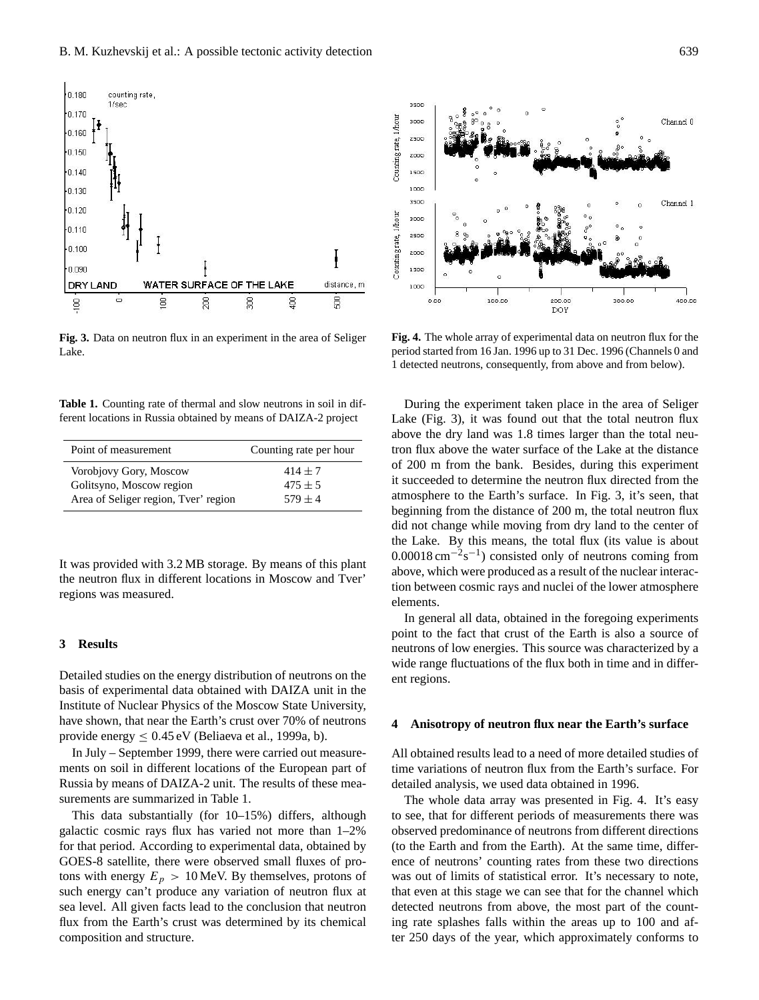

**Fig. 3.** Data on neutron flux in an experiment in the area of Seliger Lake.

**Table 1.** Counting rate of thermal and slow neutrons in soil in different locations in Russia obtained by means of DAIZA-2 project

| Point of measurement                 | Counting rate per hour |
|--------------------------------------|------------------------|
| Vorobjovy Gory, Moscow               | $414 + 7$              |
| Golitsyno, Moscow region             | $475 \pm 5$            |
| Area of Seliger region, Tver' region | $579 + 4$              |

It was provided with 3.2 MB storage. By means of this plant the neutron flux in different locations in Moscow and Tver' regions was measured.

## **3 Results**

Detailed studies on the energy distribution of neutrons on the basis of experimental data obtained with DAIZA unit in the Institute of Nuclear Physics of the Moscow State University, have shown, that near the Earth's crust over 70% of neutrons provide energy  $< 0.45$  eV (Beliaeva et al., 1999a, b).

In July – September 1999, there were carried out measurements on soil in different locations of the European part of Russia by means of DAIZA-2 unit. The results of these measurements are summarized in Table 1.

This data substantially (for 10–15%) differs, although galactic cosmic rays flux has varied not more than 1–2% for that period. According to experimental data, obtained by GOES-8 satellite, there were observed small fluxes of protons with energy  $E_p > 10$  MeV. By themselves, protons of such energy can't produce any variation of neutron flux at sea level. All given facts lead to the conclusion that neutron flux from the Earth's crust was determined by its chemical composition and structure.



**Fig. 4.** The whole array of experimental data on neutron flux for the period started from 16 Jan. 1996 up to 31 Dec. 1996 (Channels 0 and 1 detected neutrons, consequently, from above and from below).

During the experiment taken place in the area of Seliger Lake (Fig. 3), it was found out that the total neutron flux above the dry land was 1.8 times larger than the total neutron flux above the water surface of the Lake at the distance of 200 m from the bank. Besides, during this experiment it succeeded to determine the neutron flux directed from the atmosphere to the Earth's surface. In Fig. 3, it's seen, that beginning from the distance of 200 m, the total neutron flux did not change while moving from dry land to the center of the Lake. By this means, the total flux (its value is about  $0.00018 \text{ cm}^{-2} \text{s}^{-1}$ ) consisted only of neutrons coming from above, which were produced as a result of the nuclear interaction between cosmic rays and nuclei of the lower atmosphere elements.

In general all data, obtained in the foregoing experiments point to the fact that crust of the Earth is also a source of neutrons of low energies. This source was characterized by a wide range fluctuations of the flux both in time and in different regions.

#### **4 Anisotropy of neutron flux near the Earth's surface**

All obtained results lead to a need of more detailed studies of time variations of neutron flux from the Earth's surface. For detailed analysis, we used data obtained in 1996.

The whole data array was presented in Fig. 4. It's easy to see, that for different periods of measurements there was observed predominance of neutrons from different directions (to the Earth and from the Earth). At the same time, difference of neutrons' counting rates from these two directions was out of limits of statistical error. It's necessary to note, that even at this stage we can see that for the channel which detected neutrons from above, the most part of the counting rate splashes falls within the areas up to 100 and after 250 days of the year, which approximately conforms to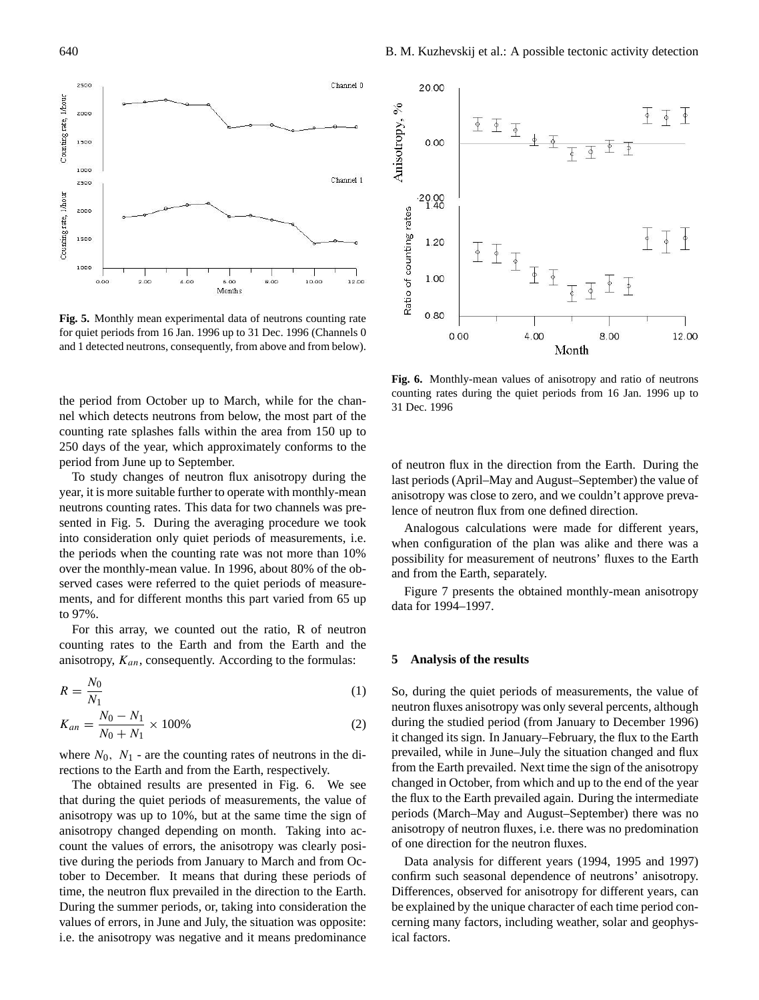

**Fig. 5.** Monthly mean experimental data of neutrons counting rate for quiet periods from 16 Jan. 1996 up to 31 Dec. 1996 (Channels 0 and 1 detected neutrons, consequently, from above and from below).

the period from October up to March, while for the channel which detects neutrons from below, the most part of the counting rate splashes falls within the area from 150 up to 250 days of the year, which approximately conforms to the period from June up to September.

To study changes of neutron flux anisotropy during the year, it is more suitable further to operate with monthly-mean neutrons counting rates. This data for two channels was presented in Fig. 5. During the averaging procedure we took into consideration only quiet periods of measurements, i.e. the periods when the counting rate was not more than 10% over the monthly-mean value. In 1996, about 80% of the observed cases were referred to the quiet periods of measurements, and for different months this part varied from 65 up to 97%.

For this array, we counted out the ratio, R of neutron counting rates to the Earth and from the Earth and the anisotropy,  $K_{an}$ , consequently. According to the formulas:

$$
R = \frac{N_0}{N_1} \tag{1}
$$

$$
K_{an} = \frac{N_0 - N_1}{N_0 + N_1} \times 100\%
$$
 (2)

where  $N_0$ ,  $N_1$  - are the counting rates of neutrons in the directions to the Earth and from the Earth, respectively.

The obtained results are presented in Fig. 6. We see that during the quiet periods of measurements, the value of anisotropy was up to 10%, but at the same time the sign of anisotropy changed depending on month. Taking into account the values of errors, the anisotropy was clearly positive during the periods from January to March and from October to December. It means that during these periods of time, the neutron flux prevailed in the direction to the Earth. During the summer periods, or, taking into consideration the values of errors, in June and July, the situation was opposite: i.e. the anisotropy was negative and it means predominance



**Fig. 6.** Monthly-mean values of anisotropy and ratio of neutrons counting rates during the quiet periods from 16 Jan. 1996 up to 31 Dec. 1996

of neutron flux in the direction from the Earth. During the last periods (April–May and August–September) the value of anisotropy was close to zero, and we couldn't approve prevalence of neutron flux from one defined direction.

Analogous calculations were made for different years, when configuration of the plan was alike and there was a possibility for measurement of neutrons' fluxes to the Earth and from the Earth, separately.

Figure 7 presents the obtained monthly-mean anisotropy data for 1994–1997.

#### **5 Analysis of the results**

So, during the quiet periods of measurements, the value of neutron fluxes anisotropy was only several percents, although during the studied period (from January to December 1996) it changed its sign. In January–February, the flux to the Earth prevailed, while in June–July the situation changed and flux from the Earth prevailed. Next time the sign of the anisotropy changed in October, from which and up to the end of the year the flux to the Earth prevailed again. During the intermediate periods (March–May and August–September) there was no anisotropy of neutron fluxes, i.e. there was no predomination of one direction for the neutron fluxes.

Data analysis for different years (1994, 1995 and 1997) confirm such seasonal dependence of neutrons' anisotropy. Differences, observed for anisotropy for different years, can be explained by the unique character of each time period concerning many factors, including weather, solar and geophysical factors.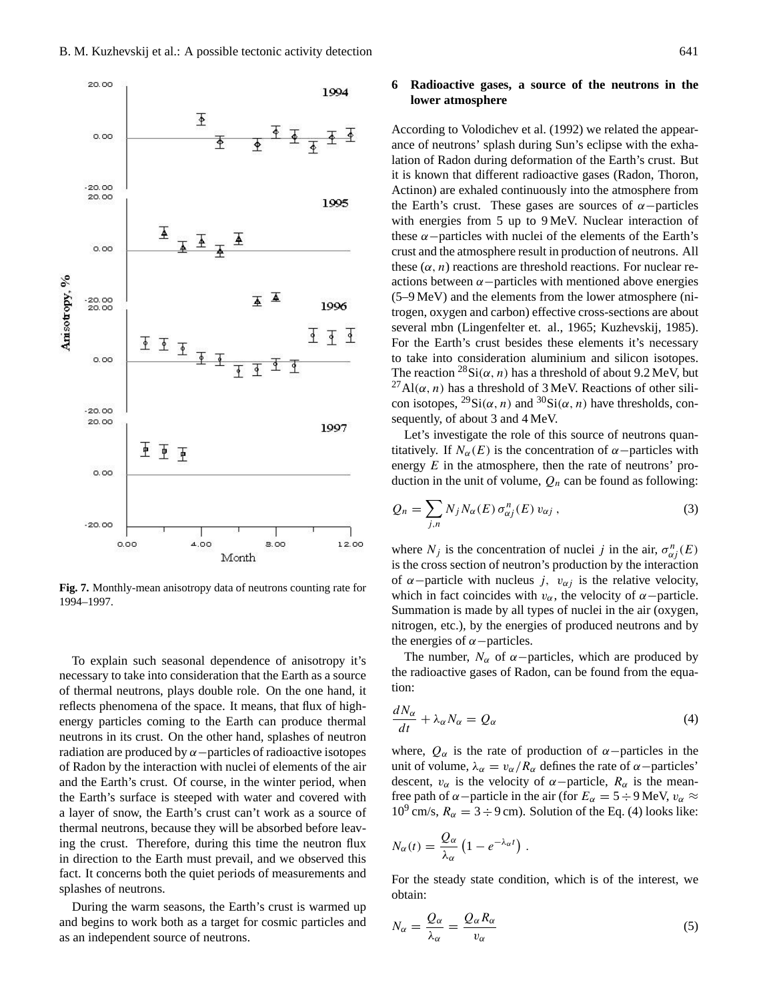

**Fig. 7.** Monthly-mean anisotropy data of neutrons counting rate for 1994–1997.

To explain such seasonal dependence of anisotropy it's necessary to take into consideration that the Earth as a source of thermal neutrons, plays double role. On the one hand, it reflects phenomena of the space. It means, that flux of highenergy particles coming to the Earth can produce thermal neutrons in its crust. On the other hand, splashes of neutron radiation are produced by  $\alpha$  –particles of radioactive isotopes of Radon by the interaction with nuclei of elements of the air and the Earth's crust. Of course, in the winter period, when the Earth's surface is steeped with water and covered with a layer of snow, the Earth's crust can't work as a source of thermal neutrons, because they will be absorbed before leaving the crust. Therefore, during this time the neutron flux in direction to the Earth must prevail, and we observed this fact. It concerns both the quiet periods of measurements and splashes of neutrons.

During the warm seasons, the Earth's crust is warmed up and begins to work both as a target for cosmic particles and as an independent source of neutrons.

## **6 Radioactive gases, a source of the neutrons in the lower atmosphere**

According to Volodichev et al. (1992) we related the appearance of neutrons' splash during Sun's eclipse with the exhalation of Radon during deformation of the Earth's crust. But it is known that different radioactive gases (Radon, Thoron, Actinon) are exhaled continuously into the atmosphere from the Earth's crust. These gases are sources of  $\alpha$  –particles with energies from 5 up to 9 MeV. Nuclear interaction of these  $\alpha$  –particles with nuclei of the elements of the Earth's crust and the atmosphere result in production of neutrons. All these  $(\alpha, n)$  reactions are threshold reactions. For nuclear reactions between  $\alpha$  –particles with mentioned above energies (5–9 MeV) and the elements from the lower atmosphere (nitrogen, oxygen and carbon) effective cross-sections are about several mbn (Lingenfelter et. al., 1965; Kuzhevskij, 1985). For the Earth's crust besides these elements it's necessary to take into consideration aluminium and silicon isotopes. The reaction  ${}^{28}Si(\alpha, n)$  has a threshold of about 9.2 MeV, but <sup>27</sup>Al( $\alpha$ , *n*) has a threshold of 3 MeV. Reactions of other silicon isotopes,  $^{29}Si(\alpha, n)$  and  $^{30}Si(\alpha, n)$  have thresholds, consequently, of about 3 and 4 MeV.

Let's investigate the role of this source of neutrons quantitatively. If  $N_\alpha(E)$  is the concentration of  $\alpha$  –particles with energy  $E$  in the atmosphere, then the rate of neutrons' production in the unit of volume,  $Q_n$  can be found as following:

$$
Q_n = \sum_{j,n} N_j N_\alpha(E) \sigma_{\alpha j}^n(E) v_{\alpha j}, \qquad (3)
$$

where  $N_j$  is the concentration of nuclei j in the air,  $\sigma_{\alpha j}^n(E)$ is the cross section of neutron's production by the interaction of  $\alpha$ −particle with nucleus j,  $v_{\alpha j}$  is the relative velocity, which in fact coincides with  $v_\alpha$ , the velocity of  $\alpha$  –particle. Summation is made by all types of nuclei in the air (oxygen, nitrogen, etc.), by the energies of produced neutrons and by the energies of  $\alpha$  –particles.

The number,  $N_{\alpha}$  of  $\alpha$  –particles, which are produced by the radioactive gases of Radon, can be found from the equation:

$$
\frac{dN_{\alpha}}{dt} + \lambda_{\alpha} N_{\alpha} = Q_{\alpha} \tag{4}
$$

where,  $Q_{\alpha}$  is the rate of production of  $\alpha$ −particles in the unit of volume,  $\lambda_{\alpha} = v_{\alpha}/R_{\alpha}$  defines the rate of  $\alpha$  –particles' descent,  $v_{\alpha}$  is the velocity of  $\alpha$ -particle,  $R_{\alpha}$  is the meanfree path of  $\alpha$  –particle in the air (for  $E_{\alpha} = 5 \div 9$  MeV,  $v_{\alpha} \approx$  $10^9$  cm/s,  $R_\alpha = 3 \div 9$  cm). Solution of the Eq. (4) looks like:

$$
N_{\alpha}(t) = \frac{Q_{\alpha}}{\lambda_{\alpha}} \left( 1 - e^{-\lambda_{\alpha}t} \right) .
$$

For the steady state condition, which is of the interest, we obtain:

$$
N_{\alpha} = \frac{Q_{\alpha}}{\lambda_{\alpha}} = \frac{Q_{\alpha} R_{\alpha}}{v_{\alpha}}
$$
\n<sup>(5)</sup>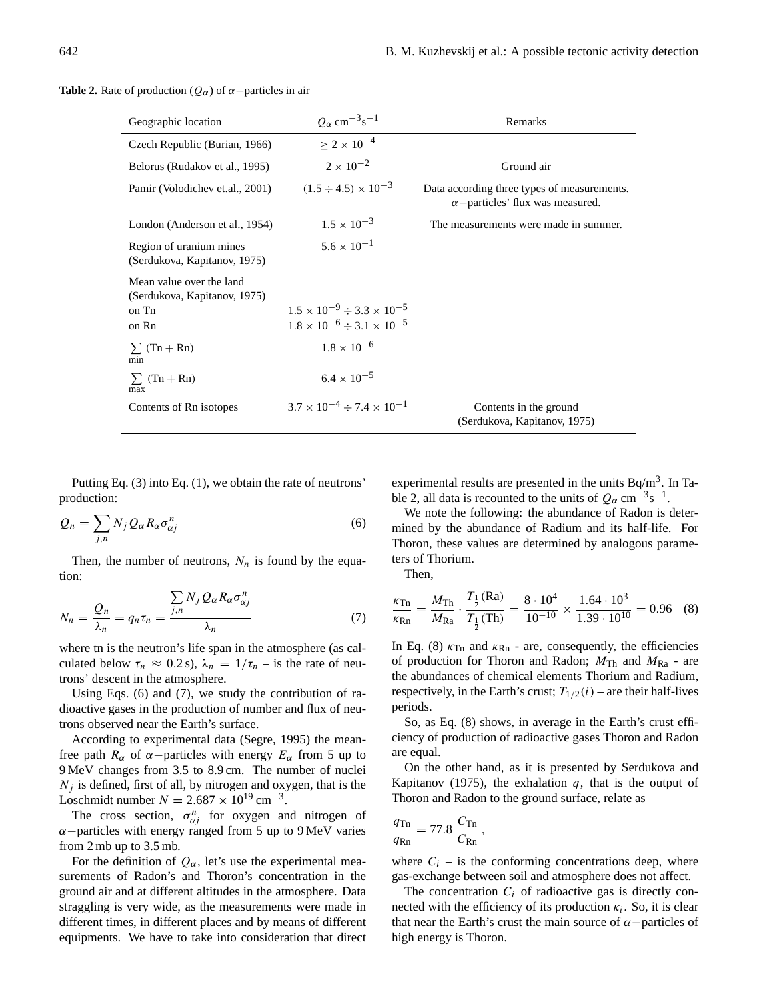**Table 2.** Rate of production ( $Q_{\alpha}$ ) of  $\alpha$  –particles in air

| Geographic location                                                        | $Q_{\alpha}$ cm <sup>-3</sup> s <sup>-1</sup>                                                | Remarks                                                                                |
|----------------------------------------------------------------------------|----------------------------------------------------------------------------------------------|----------------------------------------------------------------------------------------|
| Czech Republic (Burian, 1966)                                              | $\geq 2 \times 10^{-4}$                                                                      |                                                                                        |
| Belorus (Rudakov et al., 1995)                                             | $2 \times 10^{-2}$                                                                           | Ground air                                                                             |
| Pamir (Volodichev et.al., 2001)                                            | $(1.5 \div 4.5) \times 10^{-3}$                                                              | Data according three types of measurements.<br>$\alpha$ -particles' flux was measured. |
| London (Anderson et al., 1954)                                             | $1.5 \times 10^{-3}$                                                                         | The measurements were made in summer.                                                  |
| Region of uranium mines<br>(Serdukova, Kapitanov, 1975)                    | $5.6 \times 10^{-1}$                                                                         |                                                                                        |
| Mean value over the land<br>(Serdukova, Kapitanov, 1975)<br>on Tn<br>on Rn | $1.5 \times 10^{-9} \div 3.3 \times 10^{-5}$<br>$1.8 \times 10^{-6} \div 3.1 \times 10^{-5}$ |                                                                                        |
| $\sum$ (Tn + Rn)<br>min                                                    | $1.8 \times 10^{-6}$                                                                         |                                                                                        |
| $\sum$ (Tn + Rn)<br>max                                                    | $6.4 \times 10^{-5}$                                                                         |                                                                                        |
| Contents of Rn isotopes                                                    | $3.7 \times 10^{-4} \div 7.4 \times 10^{-1}$                                                 | Contents in the ground<br>(Serdukova, Kapitanov, 1975)                                 |

Putting Eq. (3) into Eq. (1), we obtain the rate of neutrons' production:

$$
Q_n = \sum_{j,n} N_j Q_\alpha R_\alpha \sigma_{\alpha j}^n \tag{6}
$$

Then, the number of neutrons,  $N_n$  is found by the equation:

$$
N_n = \frac{Q_n}{\lambda_n} = q_n \tau_n = \frac{\sum_{j,n} N_j Q_\alpha R_\alpha \sigma_{\alpha j}^n}{\lambda_n}
$$
(7)

where tn is the neutron's life span in the atmosphere (as calculated below  $\tau_n \approx 0.2$  s),  $\lambda_n = 1/\tau_n$  – is the rate of neutrons' descent in the atmosphere.

Using Eqs. (6) and (7), we study the contribution of radioactive gases in the production of number and flux of neutrons observed near the Earth's surface.

According to experimental data (Segre, 1995) the meanfree path  $R_{\alpha}$  of  $\alpha$  -particles with energy  $E_{\alpha}$  from 5 up to 9 MeV changes from 3.5 to 8.9 cm. The number of nuclei  $N_i$  is defined, first of all, by nitrogen and oxygen, that is the Loschmidt number  $N = 2.687 \times 10^{19}$  cm<sup>-3</sup>.

The cross section,  $\sigma_{\alpha j}^n$  for oxygen and nitrogen of  $\alpha$  –particles with energy ranged from 5 up to 9 MeV varies from 2 mb up to 3.5 mb.

For the definition of  $Q_{\alpha}$ , let's use the experimental measurements of Radon's and Thoron's concentration in the ground air and at different altitudes in the atmosphere. Data straggling is very wide, as the measurements were made in different times, in different places and by means of different equipments. We have to take into consideration that direct experimental results are presented in the units  $Bq/m<sup>3</sup>$ . In Table 2, all data is recounted to the units of  $Q_{\alpha}$  cm<sup>-3</sup>s<sup>-1</sup>.

We note the following: the abundance of Radon is determined by the abundance of Radium and its half-life. For Thoron, these values are determined by analogous parameters of Thorium.

Then,

$$
\frac{\kappa_{\text{Tn}}}{\kappa_{\text{Rn}}} = \frac{M_{\text{Th}}}{M_{\text{Ra}}} \cdot \frac{T_{\frac{1}{2}}(\text{Ra})}{T_{\frac{1}{2}}(\text{Th})} = \frac{8 \cdot 10^4}{10^{-10}} \times \frac{1.64 \cdot 10^3}{1.39 \cdot 10^{10}} = 0.96 \quad (8)
$$

In Eq. (8)  $\kappa_{\text{Tn}}$  and  $\kappa_{\text{Rn}}$  - are, consequently, the efficiencies of production for Thoron and Radon;  $M_{\text{Th}}$  and  $M_{\text{Ra}}$  - are the abundances of chemical elements Thorium and Radium, respectively, in the Earth's crust;  $T_{1/2}(i)$  – are their half-lives periods.

So, as Eq. (8) shows, in average in the Earth's crust efficiency of production of radioactive gases Thoron and Radon are equal.

On the other hand, as it is presented by Serdukova and Kapitanov (1975), the exhalation  $q$ , that is the output of Thoron and Radon to the ground surface, relate as

$$
\frac{q_{\text{Tn}}}{q_{\text{Rn}}} = 77.8 \frac{C_{\text{Tn}}}{C_{\text{Rn}}},
$$

where  $C_i$  – is the conforming concentrations deep, where gas-exchange between soil and atmosphere does not affect.

The concentration  $C_i$  of radioactive gas is directly connected with the efficiency of its production  $\kappa_i$ . So, it is clear that near the Earth's crust the main source of  $\alpha$  –particles of high energy is Thoron.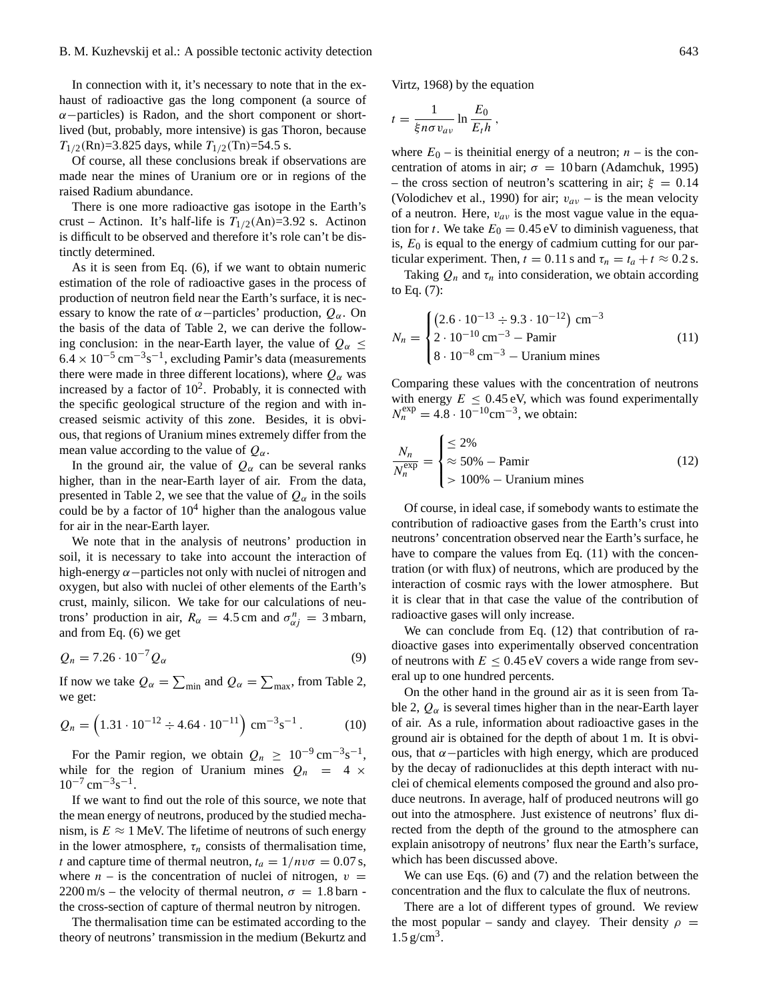In connection with it, it's necessary to note that in the exhaust of radioactive gas the long component (a source of  $\alpha$  –particles) is Radon, and the short component or shortlived (but, probably, more intensive) is gas Thoron, because  $T_{1/2}$ (Rn)=3.825 days, while  $T_{1/2}$ (Tn)=54.5 s.

Of course, all these conclusions break if observations are made near the mines of Uranium ore or in regions of the raised Radium abundance.

There is one more radioactive gas isotope in the Earth's crust – Actinon. It's half-life is  $T_{1/2}(\text{An})=3.92 \text{ s}$ . Actinon is difficult to be observed and therefore it's role can't be distinctly determined.

As it is seen from Eq. (6), if we want to obtain numeric estimation of the role of radioactive gases in the process of production of neutron field near the Earth's surface, it is necessary to know the rate of  $\alpha$ −particles' production,  $Q_{\alpha}$ . On the basis of the data of Table 2, we can derive the following conclusion: in the near-Earth layer, the value of  $Q_{\alpha} \leq$  $6.4 \times 10^{-5}$  cm<sup>-3</sup>s<sup>-1</sup>, excluding Pamir's data (measurements there were made in three different locations), where  $Q_{\alpha}$  was increased by a factor of  $10^2$ . Probably, it is connected with the specific geological structure of the region and with increased seismic activity of this zone. Besides, it is obvious, that regions of Uranium mines extremely differ from the mean value according to the value of  $Q_{\alpha}$ .

In the ground air, the value of  $Q_{\alpha}$  can be several ranks higher, than in the near-Earth layer of air. From the data, presented in Table 2, we see that the value of  $Q_{\alpha}$  in the soils could be by a factor of  $10^4$  higher than the analogous value for air in the near-Earth layer.

We note that in the analysis of neutrons' production in soil, it is necessary to take into account the interaction of high-energy  $\alpha$  –particles not only with nuclei of nitrogen and oxygen, but also with nuclei of other elements of the Earth's crust, mainly, silicon. We take for our calculations of neutrons' production in air,  $R_{\alpha} = 4.5$  cm and  $\sigma_{\alpha j}^{n} = 3$  mbarn, and from Eq. (6) we get

$$
Q_n = 7.26 \cdot 10^{-7} Q_\alpha \tag{9}
$$

If now we take  $Q_{\alpha} = \sum_{\text{min}}$  and  $Q_{\alpha} = \sum_{\text{max}}$ , from Table 2, we get:

$$
Q_n = \left(1.31 \cdot 10^{-12} \div 4.64 \cdot 10^{-11}\right) \text{ cm}^{-3} \text{s}^{-1}. \tag{10}
$$

For the Pamir region, we obtain  $Q_n \geq 10^{-9} \text{ cm}^{-3} \text{s}^{-1}$ , while for the region of Uranium mines  $Q_n = 4 \times$  $10^{-7}$  cm<sup>-3</sup>s<sup>-1</sup>.

If we want to find out the role of this source, we note that the mean energy of neutrons, produced by the studied mechanism, is  $E \approx 1$  MeV. The lifetime of neutrons of such energy in the lower atmosphere,  $\tau_n$  consists of thermalisation time, t and capture time of thermal neutron,  $t_a = 1/nv\sigma = 0.07$  s, where  $n -$  is the concentration of nuclei of nitrogen,  $v =$  $2200 \text{ m/s}$  – the velocity of thermal neutron,  $\sigma = 1.8 \text{ barn}$ . the cross-section of capture of thermal neutron by nitrogen.

The thermalisation time can be estimated according to the theory of neutrons' transmission in the medium (Bekurtz and Virtz, 1968) by the equation

$$
t = \frac{1}{\xi n \sigma v_{av}} \ln \frac{E_0}{E_t h},
$$

where  $E_0$  – is theinitial energy of a neutron;  $n -$  is the concentration of atoms in air;  $\sigma = 10$  barn (Adamchuk, 1995) – the cross section of neutron's scattering in air;  $\xi = 0.14$ (Volodichev et al., 1990) for air;  $v_{av}$  – is the mean velocity of a neutron. Here,  $v_{av}$  is the most vague value in the equation for t. We take  $E_0 = 0.45$  eV to diminish vagueness, that is,  $E_0$  is equal to the energy of cadmium cutting for our particular experiment. Then,  $t = 0.11$  s and  $\tau_n = t_a + t \approx 0.2$  s.

Taking  $Q_n$  and  $\tau_n$  into consideration, we obtain according to Eq. (7):

$$
N_n = \begin{cases} (2.6 \cdot 10^{-13} \div 9.3 \cdot 10^{-12}) \text{ cm}^{-3} \\ 2 \cdot 10^{-10} \text{ cm}^{-3} - \text{Pamir} \\ 8 \cdot 10^{-8} \text{ cm}^{-3} - \text{Uranium mines} \end{cases}
$$
(11)

Comparing these values with the concentration of neutrons with energy  $E \leq 0.45 \text{ eV}$ , which was found experimentally  $N_n^{\text{exp}} = 4.8 \cdot 10^{-10} \text{cm}^{-3}$ , we obtain:

$$
\frac{N_n}{N_n^{\exp}} = \begin{cases} \leq 2\% \\ \approx 50\% - \text{Pamir} \\ > 100\% - \text{Uranium mines} \end{cases}
$$
(12)

Of course, in ideal case, if somebody wants to estimate the contribution of radioactive gases from the Earth's crust into neutrons' concentration observed near the Earth's surface, he have to compare the values from Eq. (11) with the concentration (or with flux) of neutrons, which are produced by the interaction of cosmic rays with the lower atmosphere. But it is clear that in that case the value of the contribution of radioactive gases will only increase.

We can conclude from Eq. (12) that contribution of radioactive gases into experimentally observed concentration of neutrons with  $E \leq 0.45$  eV covers a wide range from several up to one hundred percents.

On the other hand in the ground air as it is seen from Table 2,  $Q_{\alpha}$  is several times higher than in the near-Earth layer of air. As a rule, information about radioactive gases in the ground air is obtained for the depth of about 1 m. It is obvious, that  $\alpha$  –particles with high energy, which are produced by the decay of radionuclides at this depth interact with nuclei of chemical elements composed the ground and also produce neutrons. In average, half of produced neutrons will go out into the atmosphere. Just existence of neutrons' flux directed from the depth of the ground to the atmosphere can explain anisotropy of neutrons' flux near the Earth's surface, which has been discussed above.

We can use Eqs. (6) and (7) and the relation between the concentration and the flux to calculate the flux of neutrons.

There are a lot of different types of ground. We review the most popular – sandy and clayey. Their density  $\rho =$  $1.5 \text{ g/cm}^3$ .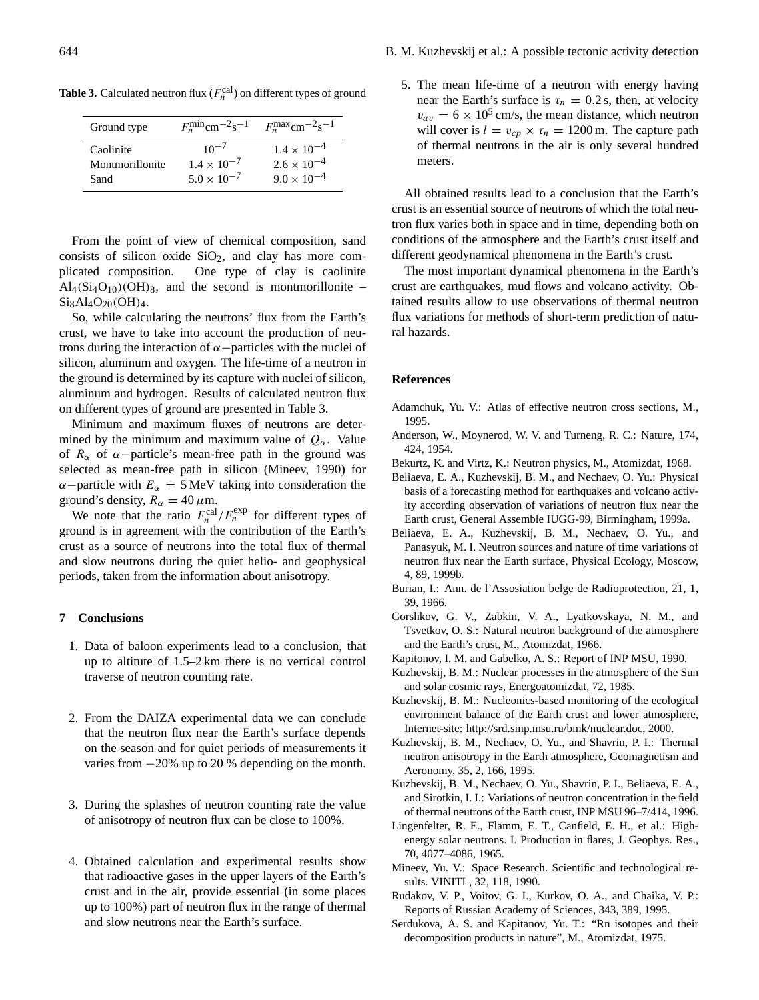| Ground type     | $F_n^{\min}$ cm <sup>-2</sup> s <sup>-1</sup> | $F_n^{\text{max}}$ cm <sup>-2</sup> s <sup>-1</sup> |
|-----------------|-----------------------------------------------|-----------------------------------------------------|
| Caolinite       | $10^{-7}$                                     | $1.4 \times 10^{-4}$                                |
| Montmorillonite | $1.4 \times 10^{-7}$                          | $2.6 \times 10^{-4}$                                |
| Sand            | $5.0 \times 10^{-7}$                          | $9.0 \times 10^{-4}$                                |

**Table 3.** Calculated neutron flux  $(F_n^{\text{cal}})$  on different types of ground

From the point of view of chemical composition, sand consists of silicon oxide  $SiO<sub>2</sub>$ , and clay has more complicated composition. One type of clay is caolinite  $\text{Al}_4(\text{Si}_4\text{O}_{10})\text{(OH)}_8$ , and the second is montmorillonite –  $Si_8Al_4O_{20}(OH)_4$ .

So, while calculating the neutrons' flux from the Earth's crust, we have to take into account the production of neutrons during the interaction of  $\alpha$  −particles with the nuclei of silicon, aluminum and oxygen. The life-time of a neutron in the ground is determined by its capture with nuclei of silicon, aluminum and hydrogen. Results of calculated neutron flux on different types of ground are presented in Table 3.

Minimum and maximum fluxes of neutrons are determined by the minimum and maximum value of  $Q_{\alpha}$ . Value of  $R_{\alpha}$  of  $\alpha$  -particle's mean-free path in the ground was selected as mean-free path in silicon (Mineev, 1990) for  $\alpha$ −particle with  $E_{\alpha} = 5$  MeV taking into consideration the ground's density,  $R_{\alpha} = 40 \,\mu \text{m}$ .

We note that the ratio  $F_n^{\text{cal}}/F_n^{\text{exp}}$  for different types of ground is in agreement with the contribution of the Earth's crust as a source of neutrons into the total flux of thermal and slow neutrons during the quiet helio- and geophysical periods, taken from the information about anisotropy.

## **7 Conclusions**

- 1. Data of baloon experiments lead to a conclusion, that up to altitute of 1.5–2 km there is no vertical control traverse of neutron counting rate.
- 2. From the DAIZA experimental data we can conclude that the neutron flux near the Earth's surface depends on the season and for quiet periods of measurements it varies from −20% up to 20 % depending on the month.
- 3. During the splashes of neutron counting rate the value of anisotropy of neutron flux can be close to 100%.
- 4. Obtained calculation and experimental results show that radioactive gases in the upper layers of the Earth's crust and in the air, provide essential (in some places up to 100%) part of neutron flux in the range of thermal and slow neutrons near the Earth's surface.

5. The mean life-time of a neutron with energy having near the Earth's surface is  $\tau_n = 0.2$  s, then, at velocity  $v_{av} = 6 \times 10^5$  cm/s, the mean distance, which neutron will cover is  $l = v_{cp} \times \tau_n = 1200$  m. The capture path of thermal neutrons in the air is only several hundred meters.

All obtained results lead to a conclusion that the Earth's crust is an essential source of neutrons of which the total neutron flux varies both in space and in time, depending both on conditions of the atmosphere and the Earth's crust itself and different geodynamical phenomena in the Earth's crust.

The most important dynamical phenomena in the Earth's crust are earthquakes, mud flows and volcano activity. Obtained results allow to use observations of thermal neutron flux variations for methods of short-term prediction of natural hazards.

#### **References**

- Adamchuk, Yu. V.: Atlas of effective neutron cross sections, M., 1995.
- Anderson, W., Moynerod, W. V. and Turneng, R. C.: Nature, 174, 424, 1954.
- Bekurtz, K. and Virtz, K.: Neutron physics, M., Atomizdat, 1968.
- Beliaeva, E. A., Kuzhevskij, B. M., and Nechaev, O. Yu.: Physical basis of a forecasting method for earthquakes and volcano activity according observation of variations of neutron flux near the Earth crust, General Assemble IUGG-99, Birmingham, 1999a.
- Beliaeva, E. A., Kuzhevskij, B. M., Nechaev, O. Yu., and Panasyuk, M. I. Neutron sources and nature of time variations of neutron flux near the Earth surface, Physical Ecology, Moscow, 4, 89, 1999b.
- Burian, I.: Ann. de l'Assosiation belge de Radioprotection, 21, 1, 39, 1966.
- Gorshkov, G. V., Zabkin, V. A., Lyatkovskaya, N. M., and Tsvetkov, O. S.: Natural neutron background of the atmosphere and the Earth's crust, M., Atomizdat, 1966.
- Kapitonov, I. M. and Gabelko, A. S.: Report of INP MSU, 1990.
- Kuzhevskij, B. M.: Nuclear processes in the atmosphere of the Sun and solar cosmic rays, Energoatomizdat, 72, 1985.
- Kuzhevskij, B. M.: Nucleonics-based monitoring of the ecological environment balance of the Earth crust and lower atmosphere, Internet-site: http://srd.sinp.msu.ru/bmk/nuclear.doc, 2000.
- Kuzhevskij, B. M., Nechaev, O. Yu., and Shavrin, P. I.: Thermal neutron anisotropy in the Earth atmosphere, Geomagnetism and Aeronomy, 35, 2, 166, 1995.
- Kuzhevskij, B. M., Nechaev, O. Yu., Shavrin, P. I., Beliaeva, E. A., and Sirotkin, I. I.: Variations of neutron concentration in the field of thermal neutrons of the Earth crust, INP MSU 96–7/414, 1996.
- Lingenfelter, R. E., Flamm, E. T., Canfield, E. H., et al.: Highenergy solar neutrons. I. Production in flares, J. Geophys. Res., 70, 4077–4086, 1965.
- Mineev, Yu. V.: Space Research. Scientific and technological results. VINITL, 32, 118, 1990.
- Rudakov, V. P., Voitov, G. I., Kurkov, O. A., and Chaika, V. P.: Reports of Russian Academy of Sciences, 343, 389, 1995.
- Serdukova, A. S. and Kapitanov, Yu. T.: "Rn isotopes and their decomposition products in nature", M., Atomizdat, 1975.